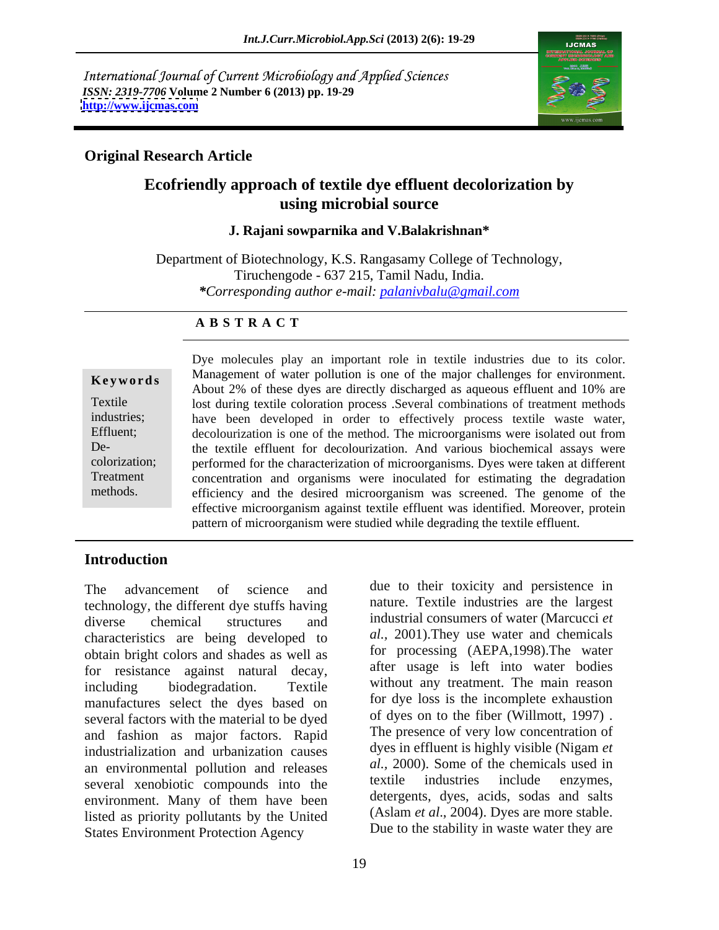International Journal of Current Microbiology and Applied Sciences *ISSN: 2319-7706* **Volume 2 Number 6 (2013) pp. 19-29 <http://www.ijcmas.com>**



#### **Original Research Article**

### **Ecofriendly approach of textile dye effluent decolorization by using microbial source**

#### **J. Rajani sowparnika and V.Balakrishnan\***

Department of Biotechnology, K.S. Rangasamy College of Technology, Tiruchengode - 637 215, Tamil Nadu, India. *\*Corresponding author e-mail: palanivbalu@gmail.com*

#### **A B S T R A C T**

**Keywords** Management of water pointion is one of the major changes for environment.<br>About 2% of these dyes are directly discharged as aqueous effluent and 10% are Textile lost during textile coloration process .Several combinations of treatment methods industries; have been developed in order to effectively process textile waste water, Effluent; decolourization is one of the method. The microorganisms were isolated out from De- the textile effluent for decolourization. And various biochemical assays were colorization; performed for the characterization of microorganisms. Dyes were taken at different Treatment concentration and organisms were inoculated for estimating the degradation methods. efficiency and the desired microorganism was screened. The genome of the Dye molecules play an important role in textile industries due to its color. Management of water pollution is one of the major challenges for environment. effective microorganism against textile effluent was identified. Moreover, protein pattern of microorganism were studied while degrading the textile effluent.

### **Introduction**

The advancement of science and due to their toxicity and persistence in technology, the different dye stuffs having diverse chemical structures and industrial consumers of water (Marcucci *et* characteristics are being developed to obtain bright colors and shades as well as for resistance against natural decay, including biodegradation. Textile without any treatment. The main reason manufactures select the dyes based on several factors with the material to be dyed and fashion as major factors. Rapid industrialization and urbanization causes an environmental pollution and releases  $\frac{aL}{2000}$ . Some of the chemicals used in several venobiotic compounds into the textile industries include enzymes, several xenobiotic compounds into the environment. Many of them have been listed as priority pollutants by the United States Environment Protection Agency

19

nature. Textile industries are the largest industrial consumers of water (Marcucci *et al.,* 2001).They use water and chemicals for processing (AEPA,1998).The water after usage is left into water bodies for dye loss is the incomplete exhaustion of dyes on to the fiber (Willmott, 1997) . The presence of very low concentration of dyes in effluent is highly visible (Nigam *et al.,* 2000). Some of the chemicals used in textile industries include enzymes, detergents, dyes, acids, sodas and salts (Aslam *et al*., 2004). Dyes are more stable. Due to the stability in waste water they are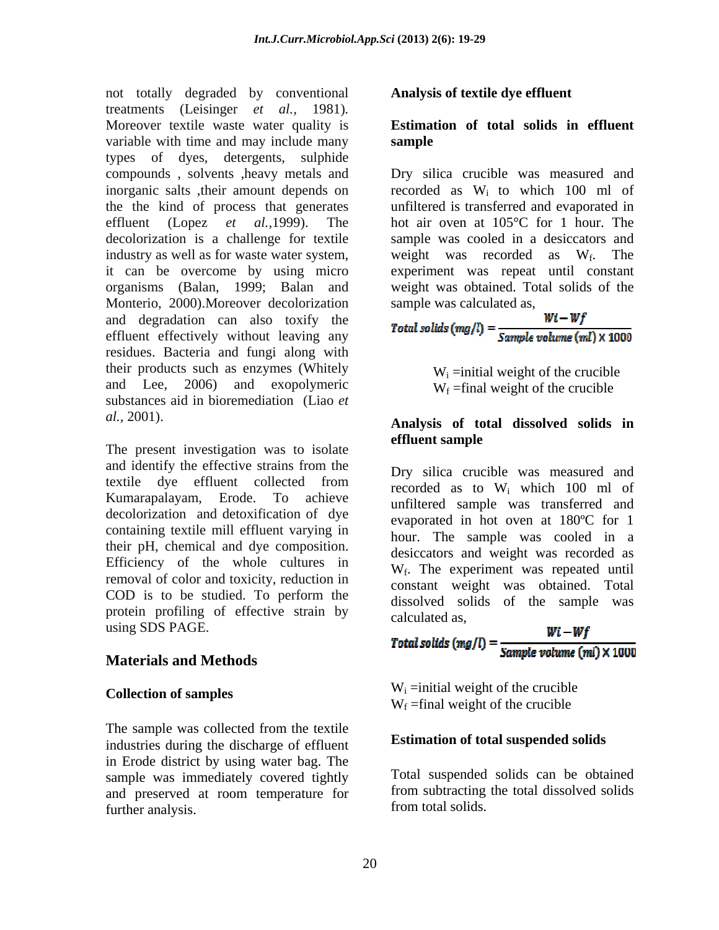not totally degraded by conventional treatments (Leisinger *et al.,* 1981)*.* Moreover textile waste water quality is **Estimation of total solids in effluent** variable with time and may include many sample types of dyes, detergents, sulphide decolorization is a challenge for textile Monterio, 2000). Moreover decolorization sample was calculated as, and degradation can also toxify the effluent effectively without leaving any residues. Bacteria and fungi along with their products such as enzymes (Whitely and Lee, 2006) and exopolymeric substances aid in bioremediation (Liao *et* 

The present investigation was to isolate **effluent sample** and identify the effective strains from the textile dye effluent collected from  $\frac{Bf}{2}$  since encreased was measured and Kumarapalayam, Erode. To achieve unfiltered sample was transferred and decolorization and detoxification of dye containing textile mill effluent varying in their pH, chemical and dye composition. Efficiency of the whole cultures in removal of color and toxicity, reduction in COD is to be studied. To perform the protein profiling of effective strain by calculated as, using SDS PAGE.

### **Materials and Methods**

#### **Collection of samples**

The sample was collected from the textile industries during the discharge of effluent in Erode district by using water bag. The sample was immediately covered tightly and preserved at room temperature for further analysis.

#### **Analysis of textile dye effluent**

## **sample**

compounds , solvents ,heavy metals and Dry silica crucible was measured and inorganic salts ,their amount depends on recorded as Wi to which 100 ml of the the kind of process that generates unfiltered is transferred and evaporated in effluent (Lopez *et al.,*1999). The hot air oven at 105°C for 1 hour. The industry as well as for waste water system, weight was recorded as  $W_f$ . The it can be overcome by using micro experiment was repeat until constant organisms (Balan, 1999; Balan and weight was obtained. Total solids of the sample was cooled in a desiccators and . The sample was calculated as,

$$
Total\, solids\,(mg/l)=\frac{Wl-WJ}{Sample\,volume\,(ml)\times 1000}
$$

 $W_i$  =initial weight of the crucible  $W_f$  =final weight of the crucible

### *al.,* 2001). **Analysis of total dissolved solids in effluent sample**

Dry silica crucible was measured and recorded as to Wi which 100 ml of evaporated in hot oven at 180ºC for 1 hour. The sample was cooled in a desiccators and weight was recorded as W<sub>f</sub>. The experiment was repeated until constant weight was obtained. Total dissolved solids of the sample was calculated as,

$$
Total solids (mg/l) = \frac{Wi - Wf}{Sample volume (ml) \times 1000}
$$

 $W_i$  =initial weight of the crucible  $W_f$  =final weight of the crucible

#### **Estimation of total suspended solids**

Total suspended solids can be obtained from subtracting the total dissolved solids from total solids.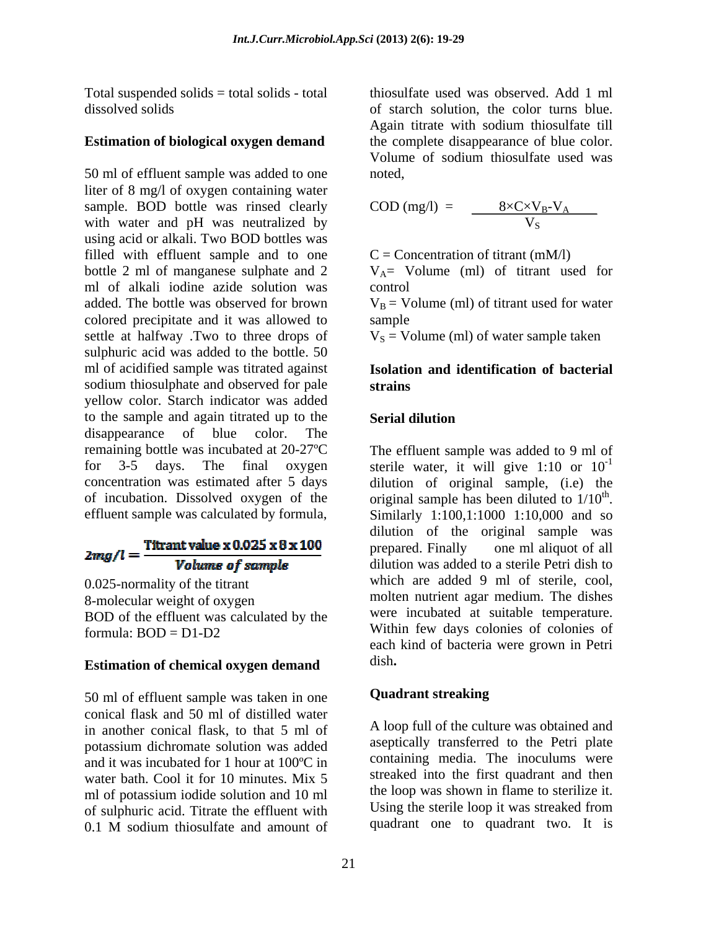Total suspended solids = total solids - total

50 ml of effluent sample was added to one liter of 8 mg/l of oxygen containing water sample. BOD bottle was rinsed clearly with water and pH was neutralized by using acid or alkali. Two BOD bottles was filled with effluent sample and to one bottle 2 ml of manganese sulphate and 2  $V_A$  = Volume (ml) of titrant used for ml of alkali iodine azide solution was added. The bottle was observed for brown  $V_B = V$ olume (ml) of titrant used for water colored precipitate and it was allowed to settle at halfway .Two to three drops of sulphuric acid was added to the bottle. 50 ml of acidified sample was titrated against sodium thiosulphate and observed for pale strains yellow color. Starch indicator was added to the sample and again titrated up to the disappearance of blue color. The remaining bottle was incubated at 20-27ºC The effluent sample was added to 9 ml of for 3-5 days. The final oxygen sterile water, it will give 1:10 or  $10^{-1}$ concentration was estimated after 5 days dilution of original sample, (i.e) the of incubation. Dissolved oxygen of the  $\qquad$  original sample has been diluted to  $1/10^{th}$ . effluent sample was calculated by formula, Similarly 1:100,1:1000 1:10,000 and so

# $2mg/l = \frac{\text{Titrant value x 0.025 x 8 x 100}}{\text{Volume of sample}}$

0.025-normality of the titrant 8-molecular weight of oxygen BOD of the effluent was calculated by the

### **Estimation of chemical oxygen demand** dish.

50 ml of effluent sample was taken in one **Quadrant streaking** conical flask and 50 ml of distilled water in another conical flask, to that 5 ml of potassium dichromate solution was added and it was incubated for 1 hour at 100ºC in water bath. Cool it for 10 minutes. Mix 5 ml of potassium iodide solution and 10 ml of sulphuric acid. Titrate the effluent with 0.1 M sodium thiosulfate and amount of quadrant one to quadrant two. It is

dissolved solids of starch solution, the color turns blue. **Estimation of biological oxygen demand** the complete disappearance of blue color.<br>Volume of sodium thiosulfate used was thiosulfate used was observed. Add 1 ml Again titrate with sodium thiosulfate till the complete disappearance of blue color. Volume of sodium thiosulfate used was noted,

$$
COD (mg/l) = \frac{8 \times C \times V_B - V_A}{V_S}
$$

 $C =$  Concentration of titrant (mM/l)

control and the control of the control of the control of the control of the control of the control of the control of the control of the control of the control of the control of the control of the control of the control of

sample and the state of the state of the state of the state of the state of the state of the state of the state of the state of the state of the state of the state of the state of the state of the state of the state of the

 $V<sub>S</sub>$  = Volume (ml) of water sample taken

#### **Isolation and identification of bacterial strains**

#### **Serial dilution**

formula: BOD = D1-D2 Within tew days colonies of colonies of -1 the contract of the contract of the contract of the contract of the contract of the contract of the contract of the contract of the contract of the contract of the contract of the contract of the contract of the contract o original sample has been diluted to  $1/10^{\text{th}}$ .<br>Similarly 1:100,1:1000 1:10,000 and so dilution of the original sample was prepared. Finally one ml aliquot of all dilution was added to a sterile Petri dish to which are added 9 ml of sterile, cool, molten nutrient agar medium. The dishes were incubated at suitable temperature. Within few days colonies of colonies of each kind of bacteria were grown in Petri dish**.**

#### **Quadrant streaking**

A loop full of the culture was obtained and aseptically transferred to the Petri plate containing media. The inoculums were streaked into the first quadrant and then the loop was shown in flame to sterilize it. Using the sterile loop it was streaked from quadrant one to quadrant two. It is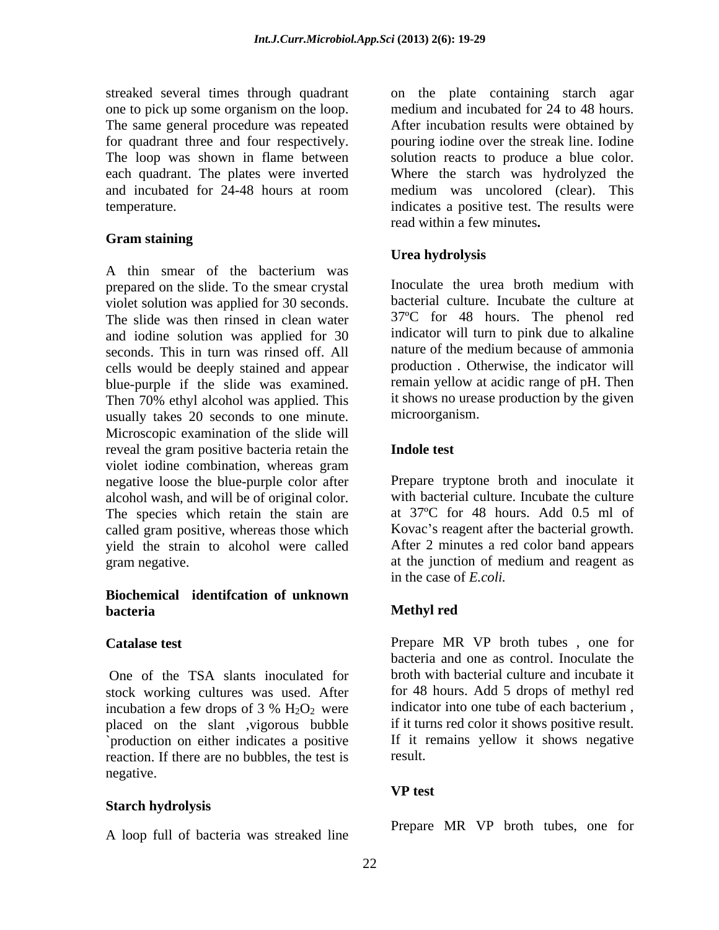one to pick up some organism on the loop. The same general procedure was repeated

#### **Gram staining**

A thin smear of the bacterium was prepared on the slide. To the smear crystal line is loculate the urea broth medium with violet solution was applied for 30 seconds. The slide was then rinsed in clean water and iodine solution was applied for 30 indicator will turn to pink due to alkaline<br>seconds. This in turn was rinsed of f All alture of the medium because of ammonia seconds. This in turn was rinsed off. All cells would be deeply stained and appear blue-purple if the slide was examined. Then 70% ethyl alcohol was applied. This usually takes 20 seconds to one minute. Microscopic examination of the slide will reveal the gram positive bacteria retain the **Indole test** violet iodine combination, whereas gram negative loose the blue-purple color after alcohol wash, and will be of original color. The species which retain the stain are called gram positive, whereas those which Kovac's reagent after the bacterial growth. yield the strain to alcohol were called gram negative. at the junction of medium and reagent as

#### **Biochemical identifcation of unknown bacteria**

One of the TSA slants inoculated for stock working cultures was used. After for 48 hours. Add 5 drops of methyl red incubation a few drops of 3 %  $H_2O_2$  were indicator into one tube of each bacterium, placed on the slant ,vigorous bubble `production on either indicates a positive If it in reaction If there are no bubbles the test is result. reaction. If there are no bubbles, the test is negative.

### **Starch hydrolysis**

A loop full of bacteria was streaked line

streaked several times through quadrant on the plate containing starch agar for quadrant three and four respectively. pouring iodine over the streak line. Iodine The loop was shown in flame between solution reacts to produce a blue color. each quadrant. The plates were inverted Where the starch was hydrolyzed the and incubated for 24-48 hours at room medium was uncolored (clear). This temperature. indicates a positive test. The results were medium and incubated for 24 to 48 hours. After incubation results were obtained by medium was uncolored (clear). This read within a few minutes**.**

### **Urea hydrolysis**

Inoculate the urea broth medium with bacterial culture. Incubate the culture at 37ºC for 48 hours. The phenol red indicator will turn to pink due to alkaline nature of the medium because of ammonia production *.* Otherwise, the indicator will remain yellow at acidic range of pH. Then it shows no urease production by the given microorganism.

#### **Indole test**

Prepare tryptone broth and inoculate it with bacterial culture. Incubate the culture at 37ºC for 48 hours. Add 0.5 ml of After 2 minutes a red color band appears in the case of *E.coli.*

### **Methyl red**

**Catalase test** Prepare MR VP broth tubes , one for bacteria and one as control. Inoculate the broth with bacterial culture and incubate it indicator into one tube of each bacterium , if it turns red color it shows positive result. If it remains yellow it shows negative result.

### **VP test**

Prepare MR VP broth tubes, one for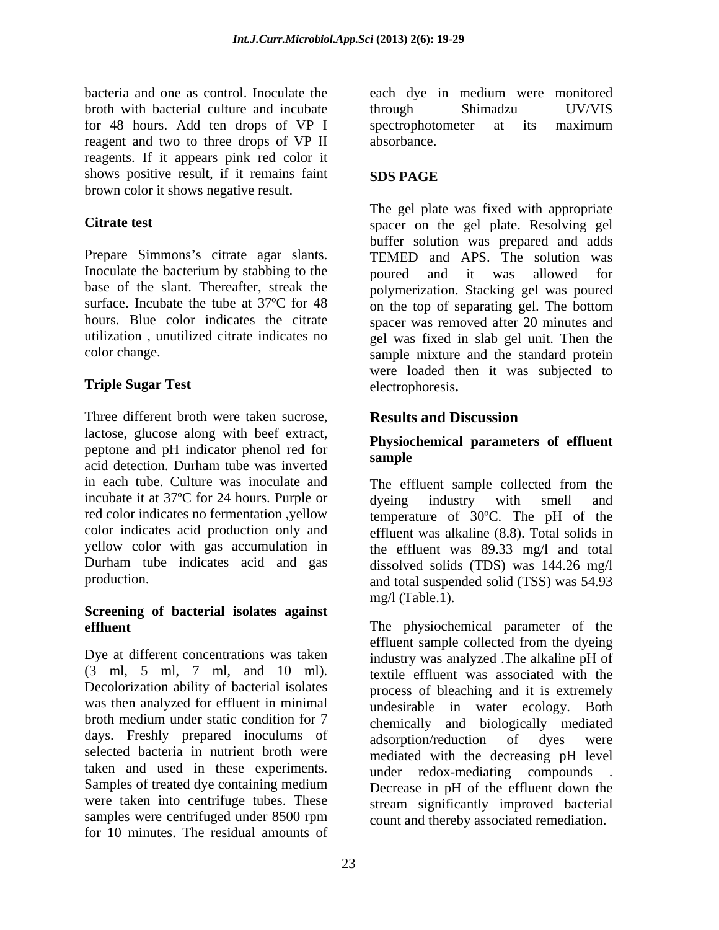bacteria and one as control. Inoculate the broth with bacterial culture and incubate through Shimadzu UV/VIS for 48 hours. Add ten drops of VP I reagent and two to three drops of VP II reagents. If it appears pink red color it shows positive result, if it remains faint SDS PAGE brown color it shows negative result.

Inoculate the bacterium by stabbing to the boured and it was allowed for surface. Incubate the tube at  $37^{\circ}$ C for 48 on the top of separating gel. The bottom

### **Triple Sugar Test**

Three different broth were taken sucrose, **Results and Discussion** lactose, glucose along with beef extract, peptone and pH indicator phenol red for<br>sample acid detection. Durham tube was inverted sample in each tube. Culture was inoculate and The effluent sample collected from the incubate it at 37<sup>o</sup>C for 24 hours. Purple or dyeing industry with smell and red color indicates no fermentation ,yellow temperature of 30ºC. The pH of the color indicates acid production only and effluent was alkaline (8.8). Total solids in yellow color with gas accumulation in the effluent was 89.33 mg/l and total Durham tube indicates acid and gas dissolved solids (TDS) was 144.26 mg/l

## **Screening of bacterial isolates against**

Dye at different concentrations was taken (3 ml, 5 ml, 7 ml, and 10 ml). Decolorization ability of bacterial isolates was then analyzed for effluent in minimal undesirable in water ecology. Both broth medium under static condition for 7 chemically and biologically mediated days. Freshly prepared inoculums of adsorption/reduction of dyes were selected bacteria in nutrient broth were taken and used in these experiments.<br>
Samples of treated dye containing medium<br>
Decrease in pH of the effluent down the were taken into centrifuge tubes. These samples were centrifuged under 8500 rpm count and there hy associated remediation for 10 minutes. The residual amounts of

each dye in medium were monitored through Shimadzu UV/VIS spectrophotometer at its maximum absorbance.

### **SDS PAGE**

**Citrate test** spacer on the gel plate. Resolving gel Prepare Simmons's citrate agar slants. TEMED and APS. The solution was base of the slant. Thereafter, streak the polymerization. Stacking gel was poured hours. Blue color indicates the citrate spacer was removed after 20 minutes and utilization , unutilized citrate indicates no gel was fixed in slab gel unit. Then the color change. sample mixture and the standard protein The gel plate was fixed with appropriate buffer solution was prepared and adds poured and it was allowed for on the top of separating gel. The bottom were loaded then it was subjected to electrophoresis**. Results and Discussion**

### **Physiochemical parameters of effluent sample**

production. and total suspended solid (TSS) was 54.93 dyeing industry with smell and mg/l (Table.1).

**effluent** The physiochemical parameter of the effluent sample collected from the dyeing industry was analyzed .The alkaline pH of textile effluent was associated with the process of bleaching and it is extremely adsorption/reduction of dyes were mediated with the decreasing pH level under redox-mediating compounds . Decrease in pH of the effluent down the stream significantly improved bacterial count and thereby associated remediation.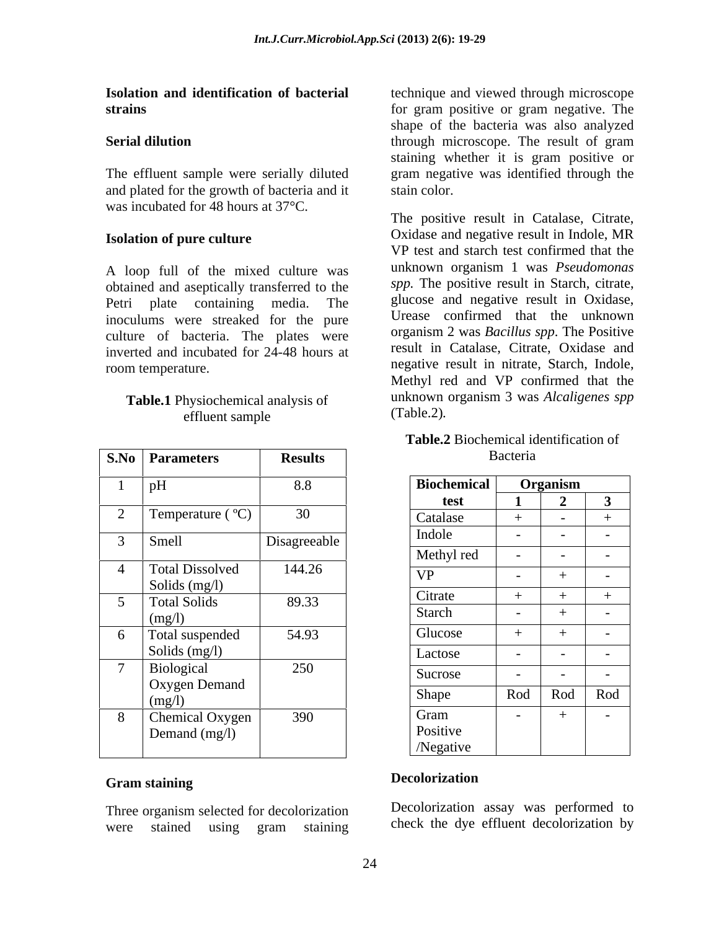The effluent sample were serially diluted and plated for the growth of bacteria and it was incubated for 48 hours at 37°C.<br>The positive result in Catalase, Citrate,

#### **Isolation of pure culture**

A loop full of the mixed culture was obtained and aseptically transferred to the inoculums were streaked for the pure culture of bacteria. The plates were inverted and incubated for 24-48 hours at room temperature.

## **Table.1** Physiochemical analysis of the unknown<br>effluent sample (Table.2).

|                | S.No Parameters              | <b>Results</b> |                    | Bacteria                 |                          |                          |
|----------------|------------------------------|----------------|--------------------|--------------------------|--------------------------|--------------------------|
|                | pH                           | 8.8            | <b>Biochemical</b> |                          | Organism                 |                          |
|                |                              |                | test               |                          | $\overline{\phantom{a}}$ | $\mathbf{3}$             |
| $\bigcap$      | Temperature (°C)             | 30             | Catalase           |                          | $\overline{a}$           |                          |
|                | <b>Smell</b>                 | Disagreeable   | Indole             | $\overline{\phantom{0}}$ | $\sim$ $-$               | $\sim$ $-$               |
|                |                              |                | Methyl red         | $\overline{a}$           | $\sim$ $-$               | $\sim$                   |
|                | <b>Total Dissolved</b>       | 144.26         | <b>VP</b>          | $\sim$                   |                          | $\overline{\phantom{0}}$ |
|                | Solids $(mg/l)$              |                |                    |                          |                          |                          |
|                | Total Solids                 | 89.33          | Citrate            |                          |                          |                          |
|                | (mg/l)                       |                | Starch             | $\sim$                   |                          | $\sim$ $-$               |
|                | Total suspended              | 54.93          | Glucose            |                          |                          | $\sim$                   |
|                | Solids (mg/l)                |                | Lactose            | $\overline{\phantom{0}}$ | $\sim$                   | $\sim$ $-$               |
| $\overline{ }$ | Biological                   | 250            | Sucrose            | $\overline{\phantom{0}}$ | $\sim$ $-$               | $\sim$                   |
|                | <b>Oxygen Demand</b>         |                |                    |                          |                          |                          |
|                | (mg/l)                       |                | Shape              | Rod                      | Rod                      | Rod                      |
| -8             | Chemical Oxygen <sup>1</sup> | 390            | Gram               | $\sim$                   |                          | $\sim$                   |
|                | Demand (mg/l)                |                | Positive           |                          |                          |                          |
|                |                              |                | /Negative          |                          |                          |                          |

#### **Gram staining**

Three organism selected for decolorization were stained using gram staining check the dye-effluent decolorization by

**Isolation and identification of bacterial** technique and viewed through microscope **strains strains strains strains strains strains strains strains strains strains strains strains strains strains strains strains strains strains strains strains strains strains s Serial dilution** through microscope. The result of gram shape of the bacteria was also analyzed through microscope. The result of gram staining whether it is gram positive or gram negative was identified through the

Petri plate containing media. The glucose and negative result in Oxidase, effluent sample (1able.2). stain color.<br>The positive result in Catalase, Citrate, Oxidase and negative result in Indole, MR VP test and starch test confirmed that the unknown organism 1 was *Pseudomonas spp.* The positive result in Starch, citrate, glucose and negative result in Oxidase, Urease confirmed that the unknown organism 2 was *Bacillus spp*. The Positive result in Catalase, Citrate, Oxidase and negative result in nitrate, Starch, Indole, Methyl red and VP confirmed that the unknown organism 3 was *Alcaligenes spp* (Table.2)*.*

#### **Table.2** Biochemical identification of Bacteria and the set of the set of the set of the set of the set of the set of the set of the set of the set o

|                               | 8.8          | <b>Biochemical</b> | Organism |            |     |
|-------------------------------|--------------|--------------------|----------|------------|-----|
|                               |              | test               |          |            |     |
| Temperature $({}^{\circ}C)$   | 30           | <b>Catalase</b>    |          |            |     |
| Smell                         | Disagreeable | Indole             |          | $\sim$ $-$ |     |
|                               |              | Methyl red         |          |            |     |
| <b>Total Dissolved</b>        | 144.26       | <b>VP</b>          |          |            |     |
| Solids (mg/l)<br>Total Solids | 89.33        | Citrate            |          |            |     |
|                               |              | Starch             |          |            |     |
| (mg/l)<br>Total suspended     | 54.93        | Glucose            |          |            |     |
| Solids $(mg/l)$               |              | Lactose            |          | $\sim$ $-$ |     |
| Biological                    | 250          | Sucrose            |          | $\sim$ $-$ |     |
| Oxygen Demand                 |              | Shape              | Rod Rod  |            | Rod |
| (mg/l)                        |              |                    |          |            |     |
| Chemical Oxygen               | 390          | Gram<br>Positive   |          |            |     |
| Demand (mg/l)                 |              | /Negative          |          |            |     |
|                               |              |                    |          |            |     |

#### **Decolorization**

Decolorization assay was performed to check the dye effluent decolorization by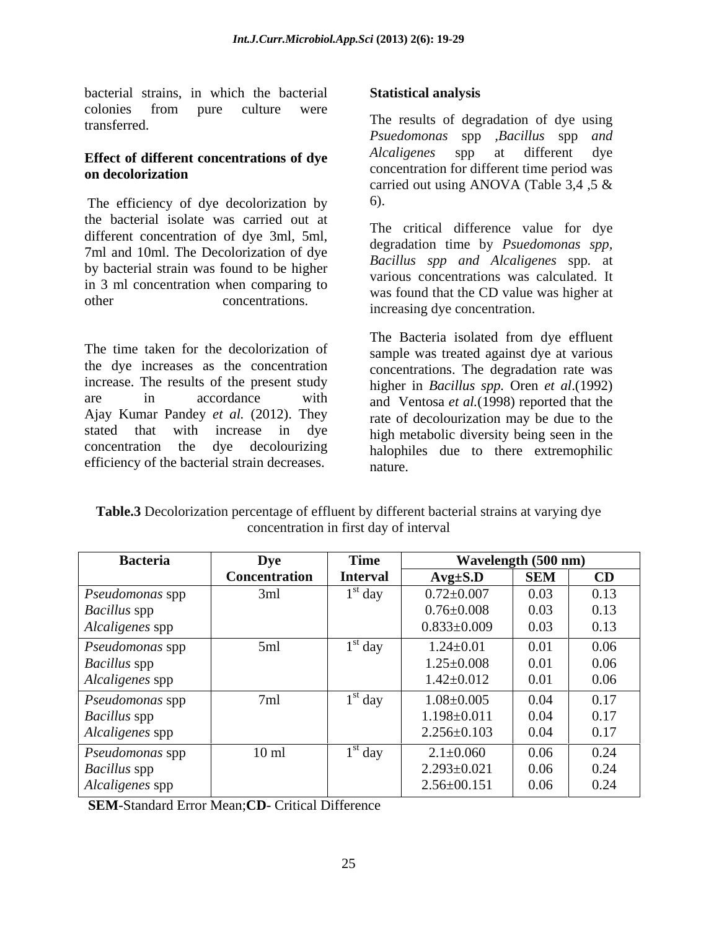bacterial strains, in which the bacterial colonies from pure culture were

The efficiency of dye decolorization by 6). the bacterial isolate was carried out at different concentration of dye 3ml, 5ml,<br>degradation time by *Psuedomonas spp*,  $7 \text{ ml}$  and  $10 \text{ ml}$ . The Decolorization of dye<br>Bacillus spp and Alcaligenes spp. at by bacterial strain was found to be higher in 3 ml concentration when comparing to

The time taken for the decolorization of the dye increases as the concentration concentrations. The degradation rate was increase. The results of the present study are in accordance with and Ventosa *et al.* (1998) reported that the Ajay Kumar Pandey *et al.* (2012). They rate of decolourization may be due to the stated that with increase in dye high metabolic diversity being seen in the concentration the dye decolourizing halophiles due to there extremophilic

transferred. The results of degradation of dye using **Effect of different concentrations of dye** Alcaligenes spp at different dye **on decolorization** concentration for different time period was *Psuedomonas* spp *,Bacillus* spp *and Alcaligenes* spp at different dye concentration for different time period was carried out using ANOVA (Table 3,4 ,5 & 6).

other concentrations. was found that the CD value was inglied at The critical difference value for dye degradation time by *Psuedomonas spp, Bacillus spp and Alcaligenes* spp*.* at various concentrations was calculated. It was found that the CD value was higher at increasing dye concentration.

bacterial strains, in which the bacterial<br>colonies from pure culture were<br>
colonies from pure culture were<br> **Effect of different concentrations of dye**<br> **Effect of different concentrations of dye**<br> **On decolorization**<br> **O** The Bacteria isolated from dye effluent sample was treated against dye at various higher in *Bacillus spp.* Oren *et al*.(1992) and Ventosa *et al.*(1998) reported that the rate of decolourization may be due to the nature.

| Table.<br>different bacterial strains at<br>ation perce<br>dve<br>. at varving<br>color17:<br>effluent<br>itage of<br>-ov<br>,,, |  |
|----------------------------------------------------------------------------------------------------------------------------------|--|
| oncentration<br>†1rst<br><sup>+</sup> interval<br>: dav<br>1n                                                                    |  |

| <b>Bacteria</b>        |                      | Time            |                   | Wavelength (500 nm) |      |
|------------------------|----------------------|-----------------|-------------------|---------------------|------|
|                        | <b>Concentration</b> | <b>Interval</b> | $Avg\pm S.D$      | <b>SEM</b>          | CD   |
| Pseudomonas spp        | 3ml                  | $1st$ day       | $0.72 \pm 0.007$  | 0.03                | 0.13 |
| <b>Bacillus</b> spp    |                      |                 | $0.76 \pm 0.008$  | 0.03                | 0.13 |
| Alcaligenes spp        |                      |                 | $0.833 \pm 0.009$ | 0.03                | 0.13 |
| <i>Pseudomonas</i> spp | 5ml                  | $1st$ day       | $1.24 \pm 0.01$   | 0.01                | 0.06 |
| <b>Bacillus</b> spp    |                      |                 | $1.25 \pm 0.008$  | 0.01                | 0.06 |
| Alcaligenes spp        |                      |                 | $1.42 \pm 0.012$  | 0.01                | 0.06 |
| <i>Pseudomonas</i> spp | 7ml                  | $1st$ day       | $1.08 \pm 0.005$  | 0.04                | 0.17 |
| <b>Bacillus</b> spp    |                      |                 | $1.198 \pm 0.011$ | 0.04                | 0.17 |
| Alcaligenes spp        |                      |                 | $2.256 \pm 0.103$ | 0.04                | 0.17 |
| <i>Pseudomonas</i> spp | $10 \text{ ml}$      | $1st$ day       | $2.1 \pm 0.060$   | 0.06                | 0.24 |
| <b>Bacillus</b> spp    |                      |                 | $2.293 \pm 0.021$ | 0.06                | 0.24 |
| Alcaligenes spp        |                      |                 | $2.56 \pm 00.151$ | 0.06                | 0.24 |

**SEM**-Standard Error Mean;**CD**- Critical Difference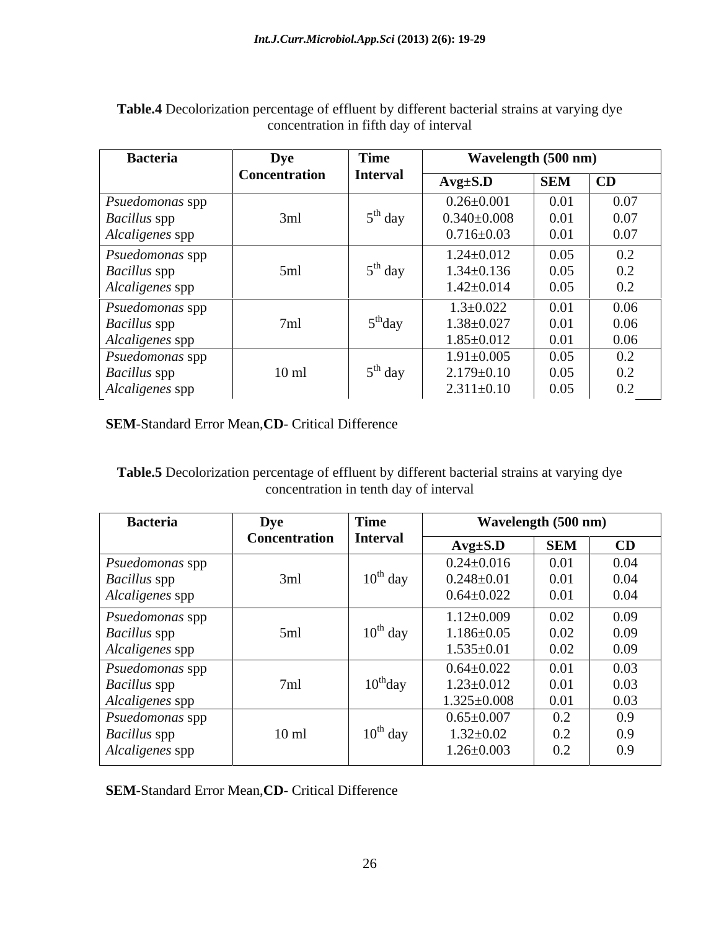| <b>Bacteria</b>     | Dye             | <b>Time</b>        |                   | Wavelength (500 nm)         |                     |
|---------------------|-----------------|--------------------|-------------------|-----------------------------|---------------------|
|                     | Concentration   | Interval           | $Avg\pm S.D$      | <b>SEM</b>                  | CD                  |
| Psuedomonas spp     |                 |                    | $0.26 \pm 0.001$  | $\Omega$ $\Omega$ 1<br>0.01 | 0.07                |
| <b>Bacillus</b> spp | 3ml             | $5th$ day          | $0.340{\pm}0.008$ | 0.01                        | 0.07                |
| Alcaligenes spp     |                 |                    | $0.716 \pm 0.03$  | 0.01                        | 0.07                |
| Psuedomonas spp     |                 |                    | $1.24 \pm 0.012$  | 0.05                        | $\overline{0.2}$    |
| <b>Bacillus</b> spp | 5ml             | $5th$ day          | $1.34 \pm 0.136$  | 0.05                        | 0.2                 |
| Alcaligenes spp     |                 |                    | $1.42 \pm 0.014$  | 0.05                        | 0.2                 |
| Psuedomonas spp     |                 |                    | $1.3 \pm 0.022$   | 0.01                        | $\frac{0.06}{0.06}$ |
| <b>Bacillus</b> spp | 7ml             | $5^{\text{m}}$ day | $1.38 \pm 0.027$  | $0.01\,$                    |                     |
| Alcaligenes spp     |                 |                    | $1.85 \pm 0.012$  | 0.01                        | 0.06                |
| Psuedomonas spp     |                 |                    | $1.91 \pm 0.005$  | 0.05                        | 0.2                 |
| <b>Bacillus</b> spp | $10 \text{ ml}$ | $5th$ day          | $2.179 \pm 0.10$  | 0.05                        | 0.2                 |
| Alcaligenes spp     |                 |                    | $2.311 \pm 0.10$  | $0.05\,$                    | 0.2                 |

**Table.4** Decolorization percentage of effluent by different bacterial strains at varying dye concentration in fifth day of interval

**SEM**-Standard Error Mean,**CD**- Critical Difference

**Table.5** Decolorization percentage of effluent by different bacterial strains at varying dye concentration in tenth day of interval

| <b>Bacteria</b>     | Dye                  | <b>Time</b>   |                   | Wavelength (500 nm)       |                              |  |
|---------------------|----------------------|---------------|-------------------|---------------------------|------------------------------|--|
|                     | <b>Concentration</b> | Interval      | $Avg\pm S.D$      | $\overline{\mathbf{SEM}}$ |                              |  |
| Psuedomonas spp     |                      |               | $0.24 \pm 0.016$  | 0.01                      | $\frac{\overline{CD}}{0.04}$ |  |
| <b>Bacillus</b> spp | 3ml                  | $10^{th}$ day | $0.248 \pm 0.01$  | 0.01                      | 0.04                         |  |
| Alcaligenes spp     |                      |               | $0.64 \pm 0.022$  | 0.01                      | 0.04                         |  |
| Psuedomonas spp     |                      |               | $1.12 \pm 0.009$  | 0.02                      | 0.09                         |  |
| <b>Bacillus</b> spp | 5ml                  | $10^{th}$ day | $1.186 \pm 0.05$  | 0.02                      | 0.09                         |  |
| Alcaligenes spp     |                      |               | $1.535 \pm 0.01$  | 0.02                      | 0.09                         |  |
| Psuedomonas spp     |                      |               | $0.64 \pm 0.022$  | 0.01                      | 0.03                         |  |
| <b>Bacillus</b> spp | 7ml                  | $10^{th}$ day | $1.23 \pm 0.012$  | 0.01                      | 0.03                         |  |
| Alcaligenes spp     |                      |               | $1.325 \pm 0.008$ | 0.01                      |                              |  |
| Psuedomonas spp     |                      |               | $0.65 \pm 0.007$  | 0.2                       | $\frac{0.03}{0.9}$           |  |
| <b>Bacillus</b> spp | $10 \text{ ml}$      | $10^{th}$ day | $1.32 \pm 0.02$   |                           | 0.9                          |  |
| Alcaligenes spp     |                      |               | $1.26 \pm 0.003$  | $0.2\,$                   | 0.9                          |  |

**SEM**-Standard Error Mean,**CD**- Critical Difference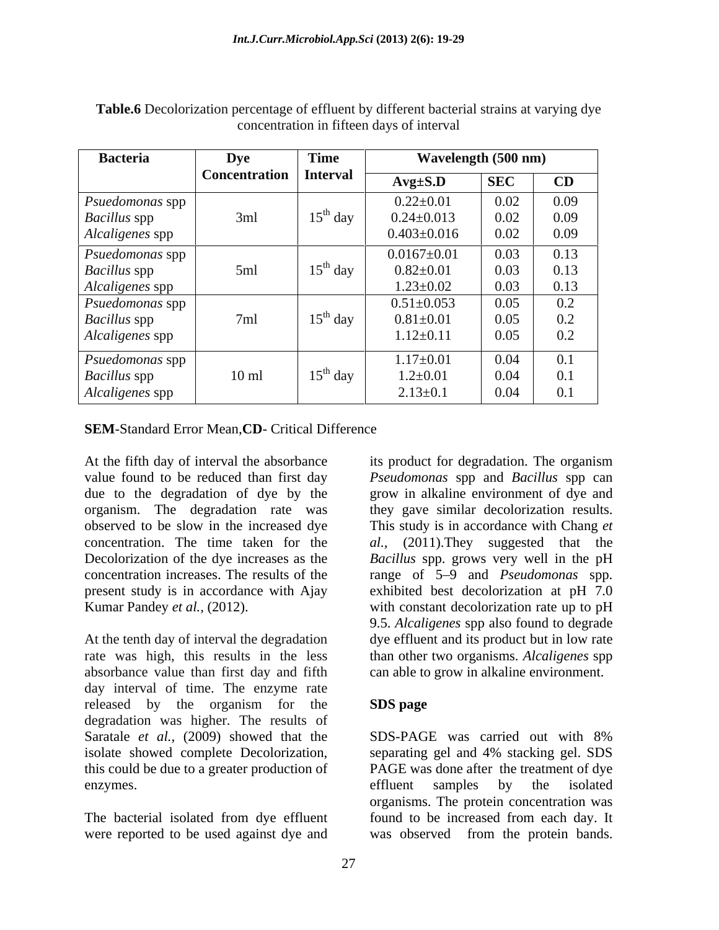| <b>Bacteria</b>     | <b>Dye</b>               | Time                 | Wavelength (500 nm) |            |      |  |  |  |
|---------------------|--------------------------|----------------------|---------------------|------------|------|--|--|--|
|                     | Concentration   Interval |                      | $Avg\pm S.D$        | <b>SEC</b> | CD   |  |  |  |
| Psuedomonas spp     |                          |                      | $0.22 \pm 0.01$     | 0.02       | 0.09 |  |  |  |
| <b>Bacillus</b> spp | 3ml                      | $15^{\rm th}$ day    | $0.24 \pm 0.013$    | 0.02       | 0.09 |  |  |  |
| Alcaligenes spp     |                          |                      | $0.403 \pm 0.016$   | 0.02       | 0.09 |  |  |  |
| Psuedomonas spp     |                          |                      | $0.0167 \pm 0.01$   | 0.03       | 0.13 |  |  |  |
| <b>Bacillus</b> spp | 5ml                      | $15^{th}$ day        | $0.82{\pm}0.01$     | 0.03       | 0.13 |  |  |  |
| Alcaligenes spp     |                          |                      | $1.23 \pm 0.02$     | 0.03       | 0.13 |  |  |  |
| Psuedomonas spp     |                          |                      | $0.51 \pm 0.053$    | 0.05       | 0.2  |  |  |  |
| <b>Bacillus</b> spp | 7ml                      | $15^{\text{th}}$ day | $0.81 \pm 0.01$     | 0.05       | 0.2  |  |  |  |
| Alcaligenes spp     |                          |                      | $1.12 \pm 0.11$     | 0.05       | 0.2  |  |  |  |
| Psuedomonas spp     |                          |                      | $1.17 \pm 0.01$     | 0.04       | 0.1  |  |  |  |
| <b>Bacillus</b> spp | $10$ ml                  | $15th$ day           | $1.2 \pm 0.01$      | 0.04       | 0.1  |  |  |  |
| Alcaligenes spp     |                          |                      | $2.13 \pm 0.1$      | 0.04       | 0.1  |  |  |  |

**Table.6** Decolorization percentage of effluent by different bacterial strains at varying dye concentration in fifteen days of interval

#### **SEM**-Standard Error Mean,**CD**- Critical Difference

At the fifth day of interval the absorbance its product for degradation. The organism

absorbance value than first day and fifth can able to grow in alkaline environment. day interval of time. The enzyme rate released by the organism for the **SDS page** degradation was higher. The results of Saratale *et al.*, (2009) showed that the SDS-PAGE was carried out with 8% isolate showed complete Decolorization, separating gel and 4% stacking gel. SDS enzymes. The enzymes of the samples by the isolated enzymes.

value found to be reduced than first day *Pseudomonas* spp and *Bacillus* spp can due to the degradation of dye by the grow in alkaline environment of dye and organism. The degradation rate was they gave similar decolorization results. observed to be slow in the increased dye This study is in accordance with Chang *et*  concentration. The time taken for the *al.,* (2011).They suggested that the Decolorization of the dye increases as the *Bacillus* spp. grows very well in the pH concentration increases. The results of the range of 5–9 and *Pseudomonas* spp. present study is in accordance with Ajay exhibited best decolorization at pH 7.0 Kumar Pandey *et al.*, (2012).  $\qquad \qquad$  with constant decolorization rate up to pH At the tenth day of interval the degradation dye effluent and its product but in low rate rate was high, this results in the less than other two organisms. *Alcaligenes* spp its product for degradation. The organism 9.5. *Alcaligenes* spp also found to degrade

#### **SDS page**

this could be due to a greater production of PAGE was done after the treatment of dye The bacterial isolated from dye effluent found to be increased from each day. It were reported to be used against dye and was observed from the protein bands.SDS-PAGE was carried out with 8% separating gel and 4% stacking gel. SDS effluent samples by the isolated organisms. The protein concentration was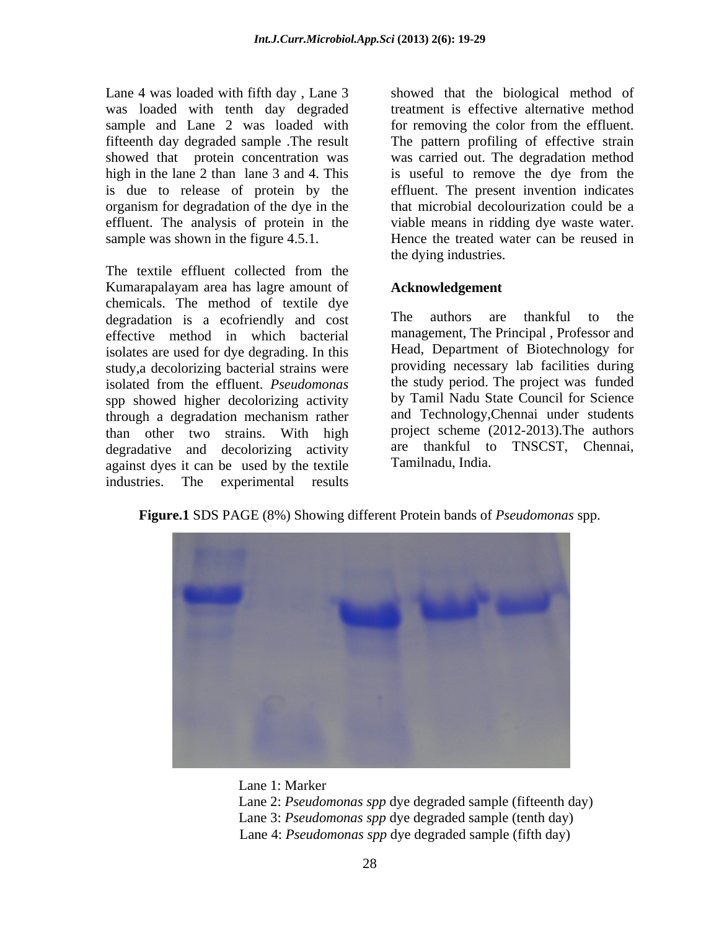Lane 4 was loaded with fifth day , Lane 3 showed that the biological method of was loaded with tenth day degraded sample and Lane 2 was loaded with for removing the color from the effluent. fifteenth day degraded sample .The result The pattern profiling of effective strain showed that protein concentration was was carried out. The degradation method high in the lane 2 than lane 3 and 4. This is useful to remove the dye from the is due to release of protein by the effluent. The present invention indicates organism for degradation of the dye in the effluent. The analysis of protein in the viable means in ridding dye waste water.

The textile effluent collected from the Kumarapalayam area has lagre amount of chemicals. The method of textile dye<br>degradation is a ecofriendly and cost are authors are thankful to the degradation is a ecofriendly and cost effective method in which bacterial isolates are used for dye degrading. In this study,a decolorizing bacterial strains were isolated from the effluent. *Pseudomonas* spp showed higher decolorizing activity through a degradation mechanism rather than other two strains. With high project scheme (2012-2013). The authors decreasing activity are thankful to TNSCST, Chennai, degradative and decolorizing activity are thankful to<br>against dyes it can be used by the textile Tamilnadu, India. against dyes it can be used by the textile industries. The experimental results

sample was shown in the figure 4.5.1. Hence the treated water can be reused in treatment is effective alternative method for removing the color from the effluent. that microbial decolourization could be a the dying industries.

#### **Acknowledgement**

The authors are thankful to the management, The Principal , Professor and Head, Department of Biotechnology for providing necessary lab facilities during the study period. The project was funded by Tamil Nadu State Council for Science and Technology,Chennai under students project scheme (2012-2013).The authors are thankful to TNSCST, Chennai, Tamilnadu, India.

**Figure.1** SDS PAGE (8%) Showing different Protein bands of *Pseudomonas* spp.



- Lane 1: Marker
- Lane 2: *Pseudomonas spp* dye degraded sample (fifteenth day) Lane 3: *Pseudomonas spp* dye degraded sample (tenth day) Lane 4: *Pseudomonas spp* dye degraded sample (fifth day)